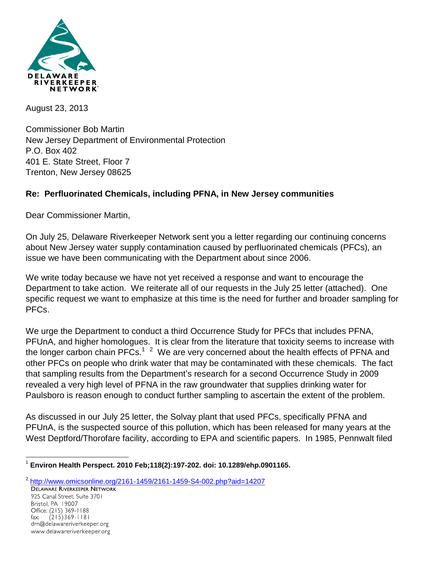

August 23, 2013

Commissioner Bob Martin New Jersey Department of Environmental Protection P.O. Box 402 401 E. State Street, Floor 7 Trenton, New Jersey 08625

## **Re: Perfluorinated Chemicals, including PFNA, in New Jersey communities**

Dear Commissioner Martin,

www.delawareriverkeeper.org

On July 25, Delaware Riverkeeper Network sent you a letter regarding our continuing concerns about New Jersey water supply contamination caused by perfluorinated chemicals (PFCs), an issue we have been communicating with the Department about since 2006.

We write today because we have not yet received a response and want to encourage the Department to take action. We reiterate all of our requests in the July 25 letter (attached). One specific request we want to emphasize at this time is the need for further and broader sampling for PFCs.

We urge the Department to conduct a third Occurrence Study for PFCs that includes PFNA, PFUnA, and higher homologues. It is clear from the literature that toxicity seems to increase with the longer carbon chain PFCs.<sup>1–2</sup> We are very concerned about the health effects of PFNA and other PFCs on people who drink water that may be contaminated with these chemicals. The fact that sampling results from the Department's research for a second Occurrence Study in 2009 revealed a very high level of PFNA in the raw groundwater that supplies drinking water for Paulsboro is reason enough to conduct further sampling to ascertain the extent of the problem.

As discussed in our July 25 letter, the Solvay plant that used PFCs, specifically PFNA and PFUnA, is the suspected source of this pollution, which has been released for many years at the West Deptford/Thorofare facility, according to EPA and scientific papers. In 1985, Pennwalt filed

 $\overline{a}$ 1 **Environ Health Perspect. 2010 Feb;118(2):197-202. doi: 10.1289/ehp.0901165.**

<sup>&</sup>lt;sup>2</sup> <http://www.omicsonline.org/2161-1459/2161-1459-S4-002.php?aid=14207> 925 Canal Street, Suite 3701 Bristol, PA 19007 Office: (215) 369-1188 fax:  $(215)369 - 1181$ drn@delawareriverkeeper.org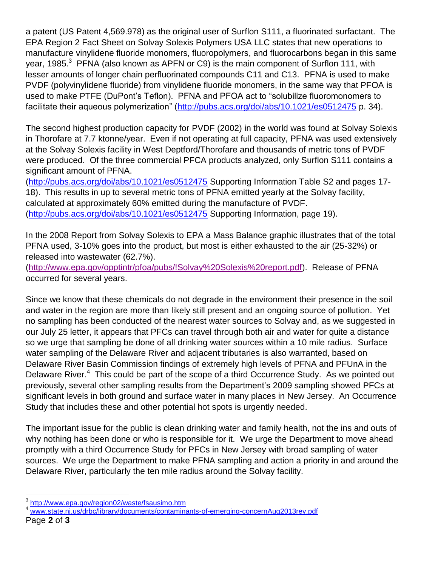a patent (US Patent 4,569.978) as the original user of Surflon S111, a fluorinated surfactant. The EPA Region 2 Fact Sheet on Solvay Solexis Polymers USA LLC states that new operations to manufacture vinylidene fluoride monomers, fluoropolymers, and fluorocarbons began in this same year, 1985. $3$  PFNA (also known as APFN or C9) is the main component of Surflon 111, with lesser amounts of longer chain perfluorinated compounds C11 and C13. PFNA is used to make PVDF (polyvinylidene fluoride) from vinylidene fluoride monomers, in the same way that PFOA is used to make PTFE (DuPont's Teflon). PFNA and PFOA act to "solubilize fluoromonomers to facilitate their aqueous polymerization" [\(http://pubs.acs.org/doi/abs/10.1021/es0512475](http://pubs.acs.org/doi/abs/10.1021/es0512475) p. 34).

The second highest production capacity for PVDF (2002) in the world was found at Solvay Solexis in Thorofare at 7.7 ktonne/year. Even if not operating at full capacity, PFNA was used extensively at the Solvay Solexis facility in West Deptford/Thorofare and thousands of metric tons of PVDF were produced. Of the three commercial PFCA products analyzed, only Surflon S111 contains a significant amount of PFNA.

[\(http://pubs.acs.org/doi/abs/10.1021/es0512475](http://pubs.acs.org/doi/abs/10.1021/es0512475) Supporting Information Table S2 and pages 17- 18). This results in up to several metric tons of PFNA emitted yearly at the Solvay facility, calculated at approximately 60% emitted during the manufacture of PVDF. [\(http://pubs.acs.org/doi/abs/10.1021/es0512475](http://pubs.acs.org/doi/abs/10.1021/es0512475) Supporting Information, page 19).

In the 2008 Report from Solvay Solexis to EPA a Mass Balance graphic illustrates that of the total PFNA used, 3-10% goes into the product, but most is either exhausted to the air (25-32%) or released into wastewater (62.7%).

[\(http://www.epa.gov/opptintr/pfoa/pubs/!Solvay%20Solexis%20report.pdf\)](http://www.epa.gov/opptintr/pfoa/pubs/!Solvay%20Solexis%20report.pdf). Release of PFNA occurred for several years.

Since we know that these chemicals do not degrade in the environment their presence in the soil and water in the region are more than likely still present and an ongoing source of pollution. Yet no sampling has been conducted of the nearest water sources to Solvay and, as we suggested in our July 25 letter, it appears that PFCs can travel through both air and water for quite a distance so we urge that sampling be done of all drinking water sources within a 10 mile radius. Surface water sampling of the Delaware River and adjacent tributaries is also warranted, based on Delaware River Basin Commission findings of extremely high levels of PFNA and PFUnA in the Delaware River.<sup>4</sup> This could be part of the scope of a third Occurrence Study. As we pointed out previously, several other sampling results from the Department's 2009 sampling showed PFCs at significant levels in both ground and surface water in many places in New Jersey. An Occurrence Study that includes these and other potential hot spots is urgently needed.

The important issue for the public is clean drinking water and family health, not the ins and outs of why nothing has been done or who is responsible for it. We urge the Department to move ahead promptly with a third Occurrence Study for PFCs in New Jersey with broad sampling of water sources. We urge the Department to make PFNA sampling and action a priority in and around the Delaware River, particularly the ten mile radius around the Solvay facility.

<sup>&</sup>lt;sup>3</sup> <http://www.epa.gov/region02/waste/fsausimo.htm>

<sup>4</sup> [www.state.nj.us/drbc/library/documents/contaminants-of-emerging-concernAug2013rev.pdf](http://www.state.nj.us/drbc/library/documents/contaminants-of-emerging-concernAug2013rev.pdf)